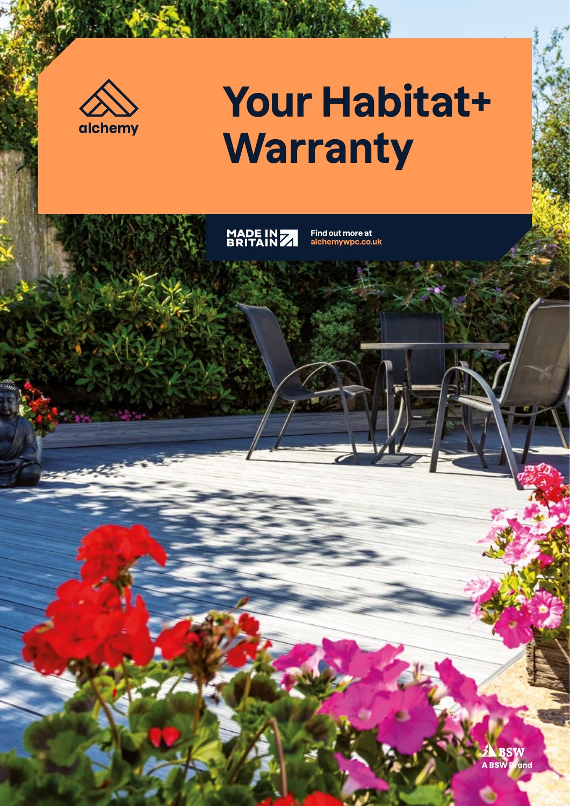

# **Your Habitat+ Warranty**

MADE IN 7

**Find out more at alchemywpc.co.uk**

> **A**<br>BSW Br and